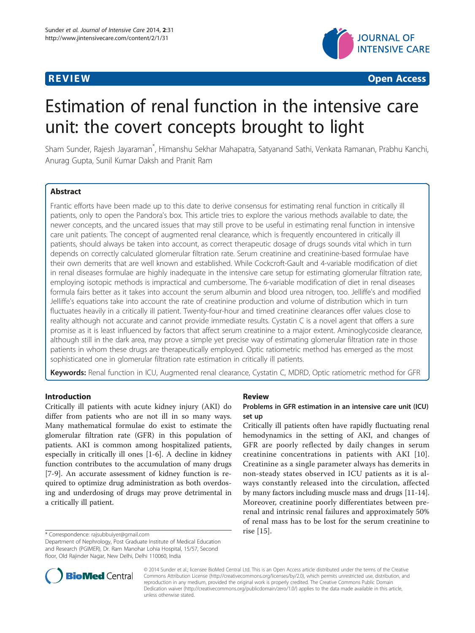

**REVIEW CONSTRUCTION CONSTRUCTION CONSTRUCTS** 

# Estimation of renal function in the intensive care unit: the covert concepts brought to light

Sham Sunder, Rajesh Jayaraman<sup>\*</sup>, Himanshu Sekhar Mahapatra, Satyanand Sathi, Venkata Ramanan, Prabhu Kanchi, Anurag Gupta, Sunil Kumar Daksh and Pranit Ram

# **Abstract**

Frantic efforts have been made up to this date to derive consensus for estimating renal function in critically ill patients, only to open the Pandora's box. This article tries to explore the various methods available to date, the newer concepts, and the uncared issues that may still prove to be useful in estimating renal function in intensive care unit patients. The concept of augmented renal clearance, which is frequently encountered in critically ill patients, should always be taken into account, as correct therapeutic dosage of drugs sounds vital which in turn depends on correctly calculated glomerular filtration rate. Serum creatinine and creatinine-based formulae have their own demerits that are well known and established. While Cockcroft-Gault and 4-variable modification of diet in renal diseases formulae are highly inadequate in the intensive care setup for estimating glomerular filtration rate, employing isotopic methods is impractical and cumbersome. The 6-variable modification of diet in renal diseases formula fairs better as it takes into account the serum albumin and blood urea nitrogen, too. Jelliffe's and modified Jelliffe's equations take into account the rate of creatinine production and volume of distribution which in turn fluctuates heavily in a critically ill patient. Twenty-four-hour and timed creatinine clearances offer values close to reality although not accurate and cannot provide immediate results. Cystatin C is a novel agent that offers a sure promise as it is least influenced by factors that affect serum creatinine to a major extent. Aminoglycoside clearance, although still in the dark area, may prove a simple yet precise way of estimating glomerular filtration rate in those patients in whom these drugs are therapeutically employed. Optic ratiometric method has emerged as the most sophisticated one in glomerular filtration rate estimation in critically ill patients.

Keywords: Renal function in ICU, Augmented renal clearance, Cystatin C, MDRD, Optic ratiometric method for GFR

# Introduction

Critically ill patients with acute kidney injury (AKI) do differ from patients who are not ill in so many ways. Many mathematical formulae do exist to estimate the glomerular filtration rate (GFR) in this population of patients. AKI is common among hospitalized patients, especially in critically ill ones [\[1](#page-4-0)-[6\]](#page-5-0). A decline in kidney function contributes to the accumulation of many drugs [[7-9](#page-5-0)]. An accurate assessment of kidney function is required to optimize drug administration as both overdosing and underdosing of drugs may prove detrimental in a critically ill patient.

# Review

# Problems in GFR estimation in an intensive care unit (ICU) set up

Critically ill patients often have rapidly fluctuating renal hemodynamics in the setting of AKI, and changes of GFR are poorly reflected by daily changes in serum creatinine concentrations in patients with AKI [[10](#page-5-0)]. Creatinine as a single parameter always has demerits in non-steady states observed in ICU patients as it is always constantly released into the circulation, affected by many factors including muscle mass and drugs [[11](#page-5-0)-[14](#page-5-0)]. Moreover, creatinine poorly differentiates between prerenal and intrinsic renal failures and approximately 50% of renal mass has to be lost for the serum creatinine to



© 2014 Sunder et al.; licensee BioMed Central Ltd. This is an Open Access article distributed under the terms of the Creative Commons Attribution License [\(http://creativecommons.org/licenses/by/2.0\)](http://creativecommons.org/licenses/by/2.0), which permits unrestricted use, distribution, and reproduction in any medium, provided the original work is properly credited. The Creative Commons Public Domain Dedication waiver [\(http://creativecommons.org/publicdomain/zero/1.0/](http://creativecommons.org/publicdomain/zero/1.0/)) applies to the data made available in this article, unless otherwise stated.

rise [\[15](#page-5-0)]. \* Correspondence: [rajsubbuiyer@gmail.com](mailto:rajsubbuiyer@gmail.com)

Department of Nephrology, Post Graduate Institute of Medical Education and Research (PGIMER), Dr. Ram Manohar Lohia Hospital, 15/57, Second floor, Old Rajinder Nagar, New Delhi, Delhi 110060, India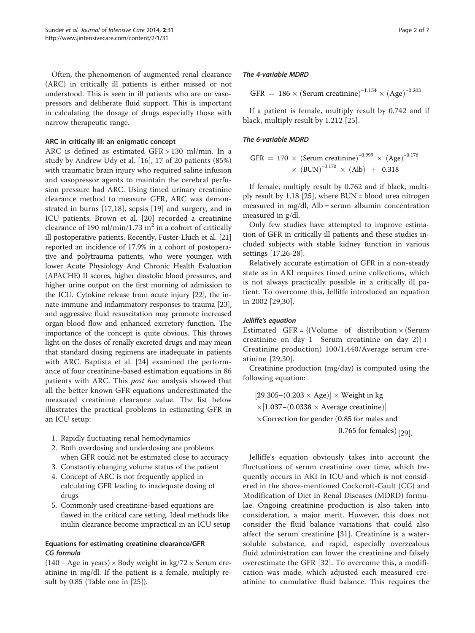Often, the phenomenon of augmented renal clearance (ARC) in critically ill patients is either missed or not understood. This is seen in ill patients who are on vasopressors and deliberate fluid support. This is important in calculating the dosage of drugs especially those with narrow therapeutic range.

#### ARC in critically ill: an enigmatic concept

ARC is defined as estimated GFR > 130 ml/min. In a study by Andrew Udy et al. [\[16](#page-5-0)], 17 of 20 patients (85%) with traumatic brain injury who required saline infusion and vasopressor agents to maintain the cerebral perfusion pressure had ARC. Using timed urinary creatinine clearance method to measure GFR, ARC was demonstrated in burns [\[17](#page-5-0),[18\]](#page-5-0), sepsis [\[19](#page-5-0)] and surgery, and in ICU patients. Brown et al. [[20\]](#page-5-0) recorded a creatinine clearance of 190 ml/min/1.73 m<sup>2</sup> in a cohort of critically ill postoperative patients. Recently, Fuster-Lluch et al. [[21](#page-5-0)] reported an incidence of 17.9% in a cohort of postoperative and polytrauma patients, who were younger, with lower Acute Physiology And Chronic Health Evaluation (APACHE) II scores, higher diastolic blood pressures, and higher urine output on the first morning of admission to the ICU. Cytokine release from acute injury [\[22\]](#page-5-0), the innate immune and inflammatory responses to trauma [[23](#page-5-0)], and aggressive fluid resuscitation may promote increased organ blood flow and enhanced excretory function. The importance of the concept is quite obvious. This throws light on the doses of renally excreted drugs and may mean that standard dosing regimens are inadequate in patients with ARC. Baptista et al. [\[24](#page-5-0)] examined the performance of four creatinine-based estimation equations in 86 patients with ARC. This post hoc analysis showed that all the better known GFR equations underestimated the measured creatinine clearance value. The list below illustrates the practical problems in estimating GFR in an ICU setup:

- 1. Rapidly fluctuating renal hemodynamics
- 2. Both overdosing and underdosing are problems when GFR could not be estimated close to accuracy
- 3. Constantly changing volume status of the patient
- 4. Concept of ARC is not frequently applied in calculating GFR leading to inadequate dosing of drugs
- 5. Commonly used creatinine-based equations are flawed in the critical care setting. Ideal methods like inulin clearance become impractical in an ICU setup

# Equations for estimating creatinine clearance/GFR CG formula

(140 − Age in years) × Body weight in kg/72 × Serum creatinine in mg/dl. If the patient is a female, multiply result by 0.85 (Table one in [[25\]](#page-5-0)).

#### The 4-variable MDRD

GFR = 186  $\times$  (Serum creatinine)<sup>-1.154</sup>  $\times$  (Age)<sup>-0.203</sup>

If a patient is female, multiply result by 0.742 and if black, multiply result by 1.212 [[25\]](#page-5-0).

### The 6-variable MDRD

$$
GFR = 170 \times (Serum creationine)^{-0.999} \times (Age)^{-0.176} \times (BUN)^{-0.170} \times (Alb) + 0.318
$$

If female, multiply result by 0.762 and if black, multiply result by 1.18 [\[25](#page-5-0)], where BUN = blood urea nitrogen measured in mg/dl, Alb = serum albumin concentration measured in g/dl.

Only few studies have attempted to improve estimation of GFR in critically ill patients and these studies included subjects with stable kidney function in various settings [[17,26-28\]](#page-5-0).

Relatively accurate estimation of GFR in a non-steady state as in AKI requires timed urine collections, which is not always practically possible in a critically ill patient. To overcome this, Jelliffe introduced an equation in 2002 [[29](#page-5-0),[30\]](#page-5-0).

#### Jelliffe's equation

Estimated GFR =  $\{$ (Volume of distribution  $\times$  (Serum creatinine on day 1 − Serum creatinine on day 2)} + Creatinine production) 100/1,440/Average serum creatinine [\[29](#page-5-0),[30\]](#page-5-0).

Creatinine production (mg/day) is computed using the following equation:

 $[29.305-(0.203 \times Age)] \times Weight in kg$  $\times$ [1.037–(0.0338 × Average creatinine)]

 $\times$  Correction for gender (0.85 for males and

0.765 for females)  $[29]$  $[29]$ .

Jelliffe's equation obviously takes into account the fluctuations of serum creatinine over time, which frequently occurs in AKI in ICU and which is not considered in the above-mentioned Cockcroft-Gault (CG) and Modification of Diet in Renal Diseases (MDRD) formulae. Ongoing creatinine production is also taken into consideration, a major merit. However, this does not consider the fluid balance variations that could also affect the serum creatinine [[31\]](#page-5-0). Creatinine is a watersoluble substance, and rapid, especially overzealous fluid administration can lower the creatinine and falsely overestimate the GFR [\[32](#page-5-0)]. To overcome this, a modification was made, which adjusted each measured creatinine to cumulative fluid balance. This requires the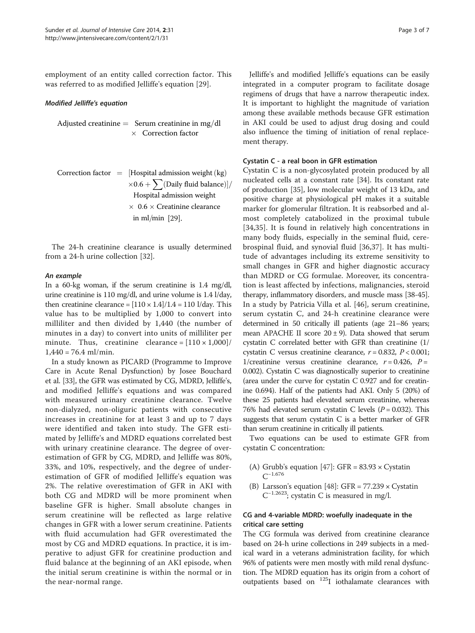employment of an entity called correction factor. This was referred to as modified Jelliffe's equation [\[29](#page-5-0)].

#### Modified Jelliffe's equation

Adjusted creatinine  $=$  Serum creatinine in mg/dl  $\times$  Correction factor

Correction factor = [Hospital admission weight (kg)  
\n
$$
\times 0.6 + \sum (\text{Daily fluid balance})]/
$$

\nHospital admission weight  
\n $\times 0.6 \times \text{Creating clearance}$   
\nin ml/min [29].

The 24-h creatinine clearance is usually determined from a 24-h urine collection [[32\]](#page-5-0).

#### An example

In a 60-kg woman, if the serum creatinine is 1.4 mg/dl, urine creatinine is 110 mg/dl, and urine volume is 1.4 l/day, then creatinine clearance =  $[110 \times 1.4]/1.4 = 110$  l/day. This value has to be multiplied by 1,000 to convert into milliliter and then divided by 1,440 (the number of minutes in a day) to convert into units of milliliter per minute. Thus, creatinine clearance =  $[110 \times 1,000]$ /  $1,440 = 76.4$  ml/min.

In a study known as PICARD (Programme to Improve Care in Acute Renal Dysfunction) by Josee Bouchard et al. [[33](#page-5-0)], the GFR was estimated by CG, MDRD, Jelliffe's, and modified Jelliffe's equations and was compared with measured urinary creatinine clearance. Twelve non-dialyzed, non-oliguric patients with consecutive increases in creatinine for at least 3 and up to 7 days were identified and taken into study. The GFR estimated by Jelliffe's and MDRD equations correlated best with urinary creatinine clearance. The degree of overestimation of GFR by CG, MDRD, and Jelliffe was 80%, 33%, and 10%, respectively, and the degree of underestimation of GFR of modified Jelliffe's equation was 2%. The relative overestimation of GFR in AKI with both CG and MDRD will be more prominent when baseline GFR is higher. Small absolute changes in serum creatinine will be reflected as large relative changes in GFR with a lower serum creatinine. Patients with fluid accumulation had GFR overestimated the most by CG and MDRD equations. In practice, it is imperative to adjust GFR for creatinine production and fluid balance at the beginning of an AKI episode, when the initial serum creatinine is within the normal or in the near-normal range.

Jelliffe's and modified Jelliffe's equations can be easily integrated in a computer program to facilitate dosage regimens of drugs that have a narrow therapeutic index. It is important to highlight the magnitude of variation among these available methods because GFR estimation in AKI could be used to adjust drug dosing and could also influence the timing of initiation of renal replacement therapy.

### Cystatin C - a real boon in GFR estimation

Cystatin C is a non-glycosylated protein produced by all nucleated cells at a constant rate [[34\]](#page-5-0). Its constant rate of production [\[35](#page-5-0)], low molecular weight of 13 kDa, and positive charge at physiological pH makes it a suitable marker for glomerular filtration. It is reabsorbed and almost completely catabolized in the proximal tubule [[34,35](#page-5-0)]. It is found in relatively high concentrations in many body fluids, especially in the seminal fluid, cerebrospinal fluid, and synovial fluid [[36,37](#page-5-0)]. It has multitude of advantages including its extreme sensitivity to small changes in GFR and higher diagnostic accuracy than MDRD or CG formulae. Moreover, its concentration is least affected by infections, malignancies, steroid therapy, inflammatory disorders, and muscle mass [\[38-45](#page-5-0)]. In a study by Patricia Villa et al. [\[46](#page-5-0)], serum creatinine, serum cystatin C, and 24-h creatinine clearance were determined in 50 critically ill patients (age 21–86 years; mean APACHE II score  $20 \pm 9$ ). Data showed that serum cystatin C correlated better with GFR than creatinine (1/ cystatin C versus creatinine clearance,  $r = 0.832$ ,  $P < 0.001$ ; 1/creatinine versus creatinine clearance,  $r = 0.426$ ,  $P =$ 0.002). Cystatin C was diagnostically superior to creatinine (area under the curve for cystatin C 0.927 and for creatinine 0.694). Half of the patients had AKI. Only 5 (20%) of these 25 patients had elevated serum creatinine, whereas 76% had elevated serum cystatin C levels  $(P = 0.032)$ . This suggests that serum cystatin C is a better marker of GFR than serum creatinine in critically ill patients.

Two equations can be used to estimate GFR from cystatin C concentration:

- (A) Grubb's equation [[47](#page-5-0)]: GFR =  $83.93 \times$  Cystatin  $C^{-1.676}$
- (B) Larsson's equation  $[48]$  $[48]$  $[48]$ : GFR = 77.239  $\times$  Cystatin  $C^{-1.2623}$ ; cystatin $C$  is measured in mg/l.

# CG and 4-variable MDRD: woefully inadequate in the critical care setting

The CG formula was derived from creatinine clearance based on 24-h urine collections in 249 subjects in a medical ward in a veterans administration facility, for which 96% of patients were men mostly with mild renal dysfunction. The MDRD equation has its origin from a cohort of outpatients based on 125I iothalamate clearances with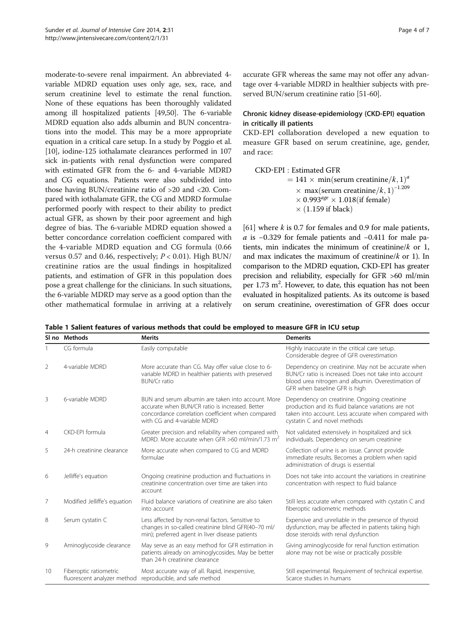<span id="page-3-0"></span>moderate-to-severe renal impairment. An abbreviated 4 variable MDRD equation uses only age, sex, race, and serum creatinine level to estimate the renal function. None of these equations has been thoroughly validated among ill hospitalized patients [\[49,50](#page-5-0)]. The 6-variable MDRD equation also adds albumin and BUN concentrations into the model. This may be a more appropriate equation in a critical care setup. In a study by Poggio et al. [[10](#page-5-0)], iodine-125 iothalamate clearances performed in 107 sick in-patients with renal dysfunction were compared with estimated GFR from the 6- and 4-variable MDRD and CG equations. Patients were also subdivided into those having BUN/creatinine ratio of >20 and <20. Compared with iothalamate GFR, the CG and MDRD formulae performed poorly with respect to their ability to predict actual GFR, as shown by their poor agreement and high degree of bias. The 6-variable MDRD equation showed a better concordance correlation coefficient compared with the 4-variable MDRD equation and CG formula (0.66 versus 0.57 and 0.46, respectively;  $P < 0.01$ ). High BUN/ creatinine ratios are the usual findings in hospitalized patients, and estimation of GFR in this population does pose a great challenge for the clinicians. In such situations, the 6-variable MDRD may serve as a good option than the other mathematical formulae in arriving at a relatively

accurate GFR whereas the same may not offer any advantage over 4-variable MDRD in healthier subjects with preserved BUN/serum creatinine ratio [\[51](#page-5-0)[-60](#page-6-0)].

# Chronic kidney disease-epidemiology (CKD-EPI) equation in critically ill patients

CKD-EPI collaboration developed a new equation to measure GFR based on serum creatinine, age, gender, and race:

CKD‐EPI : Estimated GFR  $= 141 \times min(\text{serum creationine}/k, 1)^{4}$ <br> $\frac{(m \times 10^{-1.205})}{(2.1)^{-1.205}}$  $\times$  max(serum creatinine/k, 1)<sup>-1.209</sup><br>  $\times$  0.993<sup>*age*</sup>  $\times$  1.018(if female)</sub>  $\times$  0.993<sup>age</sup>  $\times$  1.018(if female)  $\times$  (1.159 if black)

[[61\]](#page-6-0) where  $k$  is 0.7 for females and 0.9 for male patients, a is <sup>−</sup>0.329 for female patients and <sup>−</sup>0.411 for male patients, min indicates the minimum of creatinine/ $k$  or 1, and max indicates the maximum of creatinine/ $k$  or 1). In comparison to the MDRD equation, CKD-EPI has greater precision and reliability, especially for GFR >60 ml/min per 1.73 m<sup>2</sup>. However, to date, this equation has not been evaluated in hospitalized patients. As its outcome is based on serum creatinine, overestimation of GFR does occur

Table 1 Salient features of various methods that could be employed to measure GFR in ICU setup

|                | SI no Methods                                         | <b>Merits</b>                                                                                                                                                                             | <b>Demerits</b>                                                                                                                                                                                    |
|----------------|-------------------------------------------------------|-------------------------------------------------------------------------------------------------------------------------------------------------------------------------------------------|----------------------------------------------------------------------------------------------------------------------------------------------------------------------------------------------------|
|                | CG formula                                            | Easily computable                                                                                                                                                                         | Highly inaccurate in the critical care setup.<br>Considerable degree of GFR overestimation                                                                                                         |
| 2              | 4-variable MDRD                                       | More accurate than CG. May offer value close to 6-<br>variable MDRD in healthier patients with preserved<br><b>BUN/Cr ratio</b>                                                           | Dependency on creatinine. May not be accurate when<br>BUN/Cr ratio is increased. Does not take into account<br>blood urea nitrogen and albumin. Overestimation of<br>GFR when baseline GFR is high |
| 3              | 6-variable MDRD                                       | BUN and serum albumin are taken into account. More<br>accurate when BUN/CR ratio is increased. Better<br>concordance correlation coefficient when compared<br>with CG and 4-variable MDRD | Dependency on creatinine. Ongoing creatinine<br>production and its fluid balance variations are not<br>taken into account. Less accurate when compared with<br>cystatin C and novel methods        |
| $\overline{4}$ | CKD-FPI formula                                       | Greater precision and reliability when compared with<br>MDRD. More accurate when GFR >60 ml/min/1.73 m <sup>2</sup>                                                                       | Not validated extensively in hospitalized and sick<br>individuals. Dependency on serum creatinine                                                                                                  |
| 5              | 24-h creatinine clearance                             | More accurate when compared to CG and MDRD<br>formulae                                                                                                                                    | Collection of urine is an issue. Cannot provide<br>immediate results. Becomes a problem when rapid<br>administration of drugs is essential                                                         |
| 6              | Jelliffe's equation                                   | Ongoing creatinine production and fluctuations in<br>creatinine concentration over time are taken into<br>account                                                                         | Does not take into account the variations in creatinine<br>concentration with respect to fluid balance                                                                                             |
| 7              | Modified Jelliffe's equation                          | Fluid balance variations of creatinine are also taken<br>into account                                                                                                                     | Still less accurate when compared with cystatin C and<br>fiberoptic radiometric methods                                                                                                            |
| 8              | Serum cystatin C                                      | Less affected by non-renal factors. Sensitive to<br>changes in so-called creatinine blind GFR(40-70 ml/<br>min); preferred agent in liver disease patients                                | Expensive and unreliable in the presence of thyroid<br>dysfunction, may be affected in patients taking high<br>dose steroids with renal dysfunction                                                |
| 9              | Aminoglycoside clearance                              | May serve as an easy method for GFR estimation in<br>patients already on aminoglycosides. May be better<br>than 24-h creatinine clearance                                                 | Giving aminoglycoside for renal function estimation<br>alone may not be wise or practically possible                                                                                               |
| 10             | Fiberoptic ratiometric<br>fluorescent analyzer method | Most accurate way of all. Rapid, inexpensive,<br>reproducible, and safe method                                                                                                            | Still experimental. Requirement of technical expertise.<br>Scarce studies in humans                                                                                                                |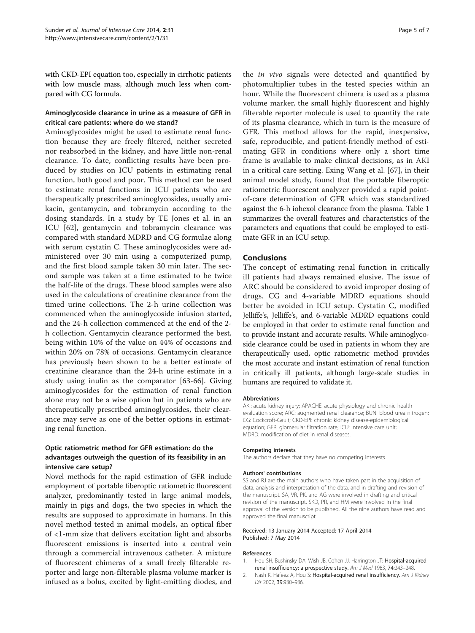<span id="page-4-0"></span>with CKD-EPI equation too, especially in cirrhotic patients with low muscle mass, although much less when compared with CG formula.

# Aminoglycoside clearance in urine as a measure of GFR in critical care patients: where do we stand?

Aminoglycosides might be used to estimate renal function because they are freely filtered, neither secreted nor reabsorbed in the kidney, and have little non-renal clearance. To date, conflicting results have been produced by studies on ICU patients in estimating renal function, both good and poor. This method can be used to estimate renal functions in ICU patients who are therapeutically prescribed aminoglycosides, usually amikacin, gentamycin, and tobramycin according to the dosing standards. In a study by TE Jones et al. in an ICU [[62\]](#page-6-0), gentamycin and tobramycin clearance was compared with standard MDRD and CG formulae along with serum cystatin C. These aminoglycosides were administered over 30 min using a computerized pump, and the first blood sample taken 30 min later. The second sample was taken at a time estimated to be twice the half-life of the drugs. These blood samples were also used in the calculations of creatinine clearance from the timed urine collections. The 2-h urine collection was commenced when the aminoglycoside infusion started, and the 24-h collection commenced at the end of the 2 h collection. Gentamycin clearance performed the best, being within 10% of the value on 44% of occasions and within 20% on 78% of occasions. Gentamycin clearance has previously been shown to be a better estimate of creatinine clearance than the 24-h urine estimate in a study using inulin as the comparator [[63-66\]](#page-6-0). Giving aminoglycosides for the estimation of renal function alone may not be a wise option but in patients who are therapeutically prescribed aminoglycosides, their clearance may serve as one of the better options in estimating renal function.

# Optic ratiometric method for GFR estimation: do the advantages outweigh the question of its feasibility in an intensive care setup?

Novel methods for the rapid estimation of GFR include employment of portable fiberoptic ratiometric fluorescent analyzer, predominantly tested in large animal models, mainly in pigs and dogs, the two species in which the results are supposed to approximate in humans. In this novel method tested in animal models, an optical fiber of <1-mm size that delivers excitation light and absorbs fluorescent emissions is inserted into a central vein through a commercial intravenous catheter. A mixture of fluorescent chimeras of a small freely filterable reporter and large non-filterable plasma volume marker is infused as a bolus, excited by light-emitting diodes, and

the in vivo signals were detected and quantified by photomultiplier tubes in the tested species within an hour. While the fluorescent chimera is used as a plasma volume marker, the small highly fluorescent and highly filterable reporter molecule is used to quantify the rate of its plasma clearance, which in turn is the measure of GFR. This method allows for the rapid, inexpensive, safe, reproducible, and patient-friendly method of estimating GFR in conditions where only a short time frame is available to make clinical decisions, as in AKI in a critical care setting. Exing Wang et al. [\[67](#page-6-0)], in their animal model study, found that the portable fiberoptic ratiometric fluorescent analyzer provided a rapid pointof-care determination of GFR which was standardized against the 6-h iohexol clearance from the plasma. Table [1](#page-3-0) summarizes the overall features and characteristics of the parameters and equations that could be employed to estimate GFR in an ICU setup.

# Conclusions

The concept of estimating renal function in critically ill patients had always remained elusive. The issue of ARC should be considered to avoid improper dosing of drugs. CG and 4-variable MDRD equations should better be avoided in ICU setup. Cystatin C, modified Jelliffe's, Jelliffe's, and 6-variable MDRD equations could be employed in that order to estimate renal function and to provide instant and accurate results. While aminoglycoside clearance could be used in patients in whom they are therapeutically used, optic ratiometric method provides the most accurate and instant estimation of renal function in critically ill patients, although large-scale studies in humans are required to validate it.

#### Abbreviations

AKI: acute kidney injury; APACHE: acute physiology and chronic health evaluation score; ARC: augmented renal clearance; BUN: blood urea nitrogen; CG: Cockcroft-Gault; CKD-EPI: chronic kidney disease-epidemiological equation; GFR: glomerular filtration rate; ICU: intensive care unit; MDRD: modification of diet in renal diseases.

#### Competing interests

The authors declare that they have no competing interests.

#### Authors' contributions

SS and RJ are the main authors who have taken part in the acquisition of data, analysis and interpretation of the data, and in drafting and revision of the manuscript. SA, VR, PK, and AG were involved in drafting and critical revision of the manuscript. SKD, PR, and HM were involved in the final approval of the version to be published. All the nine authors have read and approved the final manuscript.

#### Received: 13 January 2014 Accepted: 17 April 2014 Published: 7 May 2014

#### References

- 1. Hou SH, Bushinsky DA, Wish JB, Cohen JJ, Harrington JT: Hospital-acquired renal insufficiency: a prospective study. Am J Med 1983, 74:243–248.
- 2. Nash K, Hafeez A, Hou S: Hospital-acquired renal insufficiency. Am J Kidney Dis 2002, 39:930–936.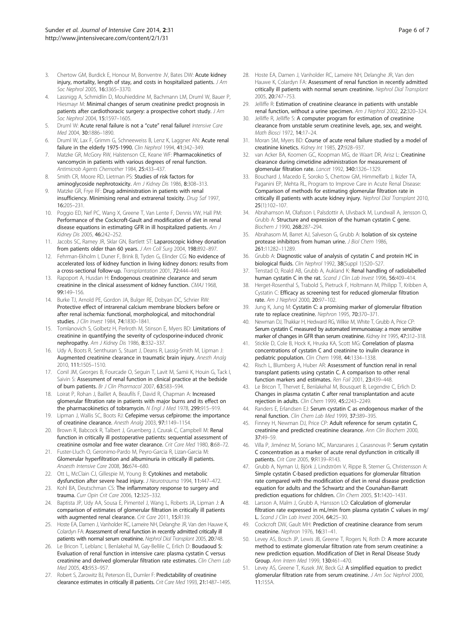- <span id="page-5-0"></span>3. Chertow GM, Burdick E, Honour M, Bonventre JV, Bates DW: Acute kidney injury, mortality, length of stay, and costs in hospitalized patients.  $JAm$ Soc Nephrol 2005, 16:3365–3370.
- 4. Lassnigg A, Schmidlin D, Mouhieddine M, Bachmann LM, Druml W, Bauer P, Hiesmayr M: Minimal changes of serum creatinine predict prognosis in patients after cardiothoracic surgery: a prospective cohort study. J Am Soc Nephrol 2004, 15:1597–1605.
- 5. Druml W: Acute renal failure is not a "cute" renal failure! Intensive Care Med 2004, 30:1886–1890.
- 6. Druml W, Lax F, Grimm G, Schneeweiss B, Lenz K, Laggner AN: Acute renal failure in the elderly 1975-1990. Clin Nephrol 1994, 41:342–349.
- 7. Matzke GR, McGory RW, Halstenson CE, Keane WF: Pharmacokinetics of vancomycin in patients with various degrees of renal function. Antimicrob Agents Chemother 1984, 25:433–437.
- 8. Smith CR, Moore RD, Lietman PS: Studies of risk factors for aminoglycoside nephrotoxicity. Am J Kidney Dis 1986, 8:308-313.
- 9. Matzke GR, Frye RF: Drug administration in patients with renal insufficiency. Minimising renal and extrarenal toxicity. Drug Saf 1997, 16:205–231.
- 10. Poggio ED, Nef PC, Wang X, Greene T, Van Lente F, Dennis VW, Hall PM: Performance of the Cockcroft-Gault and modification of diet in renal disease equations in estimating GFR in ill hospitalized patients. Am J Kidney Dis 2005, 46:242–252.
- 11. Jacobs SC, Ramey JR, Sklar GN, Bartlett ST: Laparoscopic kidney donation from patients older than 60 years. J Am Coll Surg 2004, 198:892-897.
- 12. Fehrman-Ekholm I, Duner F, Brink B, Tyden G, Elinder CG: No evidence of accelerated loss of kidney function in living kidney donors: results from a cross-sectional follow-up. Transplantation 2001, 72:444–449.
- 13. Rapoport A, Husdan H: Endogenous creatinine clearance and serum creatinine in the clinical assessment of kidney function. CMAJ 1968, 99:149–156.
- 14. Burke TJ, Arnold PE, Gordon JA, Bulger RE, Dobyan DC, Schrier RW: Protective effect of intrarenal calcium membrane blockers before or after renal ischemia: functional, morphological, and mitochondrial studies. *J Clin Invest* 1984, 74:1830-1841.
- 15. Tomlanovich S, Golbetz H, Perlroth M, Stinson E, Myers BD: Limitations of creatinine in quantifying the severity of cyclosporine-induced chronic nephropathy. Am J Kidney Dis 1986, 8:332–337.
- 16. Udy A, Boots R, Senthuran S, Stuart J, Deans R, Lassig-Smith M, Lipman J: Augmented creatinine clearance in traumatic brain injury. Anesth Analg 2010, 111:1505–1510.
- 17. Conil JM, Georges B, Fourcade O, Seguin T, Lavit M, Samii K, Houin G, Tack I, Saivin S: Assessment of renal function in clinical practice at the bedside of burn patients. Br J Clin Pharmacol 2007, 63:583–594.
- 18. Loirat P, Rohan J, Baillet A, Beaufils F, David R, Chapman A: Increased glomerular filtration rate in patients with major burns and its effect on the pharmacokinetics of tobramycin. N Engl J Med 1978, 299:915-919.
- 19. Lipman J, Wallis SC, Boots RJ: Cefepime versus cefpirome: the importance of creatinine clearance. Anesth Analg 2003, 97:1149–1154.
- 20. Brown R, Babcock R, Talbert J, Gruenberg J, Czurak C, Campbell M: Renal function in critically ill postoperative patients: sequential assessment of creatinine osmolar and free water clearance. Crit Care Med 1980, 8:68–72.
- 21. Fuster-Lluch O, Geronimo-Pardo M, Peyro-Garcia R, Lizan-Garcia M: Glomerular hyperfiltration and albuminuria in critically ill patients. Anaesth Intensive Care 2008, 36:674–680.
- 22. Ott L, McClain CJ, Gillespie M, Young B: Cytokines and metabolic dysfunction after severe head injury. J Neurotrauma 1994, 11:447-472.
- 23. Kohl BA, Deutschman CS: The inflammatory response to surgery and trauma. Curr Opin Crit Care 2006, 12:325–332.
- 24. Baptista JP, Udy AA, Sousa E, Pimentel J, Wang L, Roberts JA, Lipman J: A comparison of estimates of glomerular filtration in critically ill patients with augmented renal clearance. Crit Care 2011, 15:R139.
- 25. Hoste EA, Damen J, Vanholder RC, Lameire NH, Delanghe JR, Van den Hauwe K, Colardyn FA: Assessment of renal function in recently admitted critically ill patients with normal serum creatinine. Nephrol Dial Transplant 2005, 20:748.
- 26. Le Bricon T, Leblanc I, Benlakehal M, Gay-Bellile C, Erlich D: Boudaoud S: Evaluation of renal function in intensive care: plasma cystatin C versus creatinine and derived glomerular filtration rate estimates. Clin Chem Lab Med 2005, 43:953–957.
- 27. Robert S, Zarowitz BJ, Peterson EL, Dumler F: Predictability of creatinine clearance estimates in critically ill patients. Crit Care Med 1993, 21:1487-1495.
- 28. Hoste EA, Damen J, Vanholder RC, Lameire NH, Delanghe JR, Van den Hauwe K, Colardyn FA: Assessment of renal function in recently admitted critically ill patients with normal serum creatinine. Nephrol Dial Transplant 2005, 20:747–753.
- 29. Jelliffe R: Estimation of creatinine clearance in patients with unstable renal function, without a urine specimen. Am J Nephrol 2002, 22:320–324.
- 30. Jelliffe R, Jelliffe S: A computer program for estimation of creatinine clearance from unstable serum creatinine levels, age, sex, and weight. Math Biosci 1972, 14:17–24.
- 31. Moran SM, Myers BD: Course of acute renal failure studied by a model of creatinine kinetics. Kidney Int 1985, 27:928–937.
- 32. van Acker BA, Koomen GC, Koopman MG, de Waart DR, Arisz L: Creatinine clearance during cimetidine administration for measurement of glomerular filtration rate. Lancet 1992, 340:1326–1329.
- 33. Bouchard J, Macedo E, Soroko S, Chertow GM, Himmelfarb J, Ikizler TA, Paganini EP, Mehta RL, Program to Improve Care in Acute Renal Disease: Comparison of methods for estimating glomerular filtration rate in critically ill patients with acute kidney injury. Nephrol Dial Transplant 2010, 25(1):102–107.
- 34. Abrahamson M, Olafsson I, Palsdottir A, Ulvsback M, Lundwall A, Jensson O, Grubb A: Structure and expression of the human cystatin C gene. Biochem J 1990, 268:287–294.
- 35. Abrahasom M, Barret AJ, Salveson G, Grubb A: Isolation of six cysteine protease inhibitors from human urine. J Biol Chem 1986, 261:11282–11289.
- 36. Grubb A: Diagnostic value of analysis of cystatin C and protein HC in biological fluids. Clin Nephrol 1992, 38(Suppl 1):S20–S27.
- 37. Tenstad O, Roald AB, Grubb A, Aukland K: Renal handling of radiolabelled human cystatin C in the rat. Scand J Clin Lab Invest 1996, 56:409-414.
- 38. Herget-Rosenthal S, Trabold S, Pietruck F, Holtmann M, Philipp T, Kribben A, Cystatin C: Efficacy as screening test for reduced glomerular filtration rate. Am J Nephrol 2000, 20:97–102.
- 39. Jung K, Jung M: Cystatin C: a promising marker of glomerular filtration rate to replace creatinine. Nephron 1995, 70:370–371.
- 40. Newman DJ, Thakkar H, Hedward RG, Wilkie M, White T, Grubb A, Price CP: Serum cystatin C measured by automated immunoassay: a more sensitive marker of changes in GFR than serum creatinine. Kidney Int 1995, 47:312-318.
- 41. Stickle D, Cole B, Hock K, Hruska KA, Scott MG: Correlation of plasma concentrations of cystatin C and creatinine to inulin clearance in pediatric population. Clin Chem 1998, 44:1334-1338.
- 42. Risch L, Blumberg A, Huber AR: Assessment of function renal in renal transplant patients using cystatin C. A comparison to other renal function markers and estimates. Ren Fail 2001, 23:439–448.
- 43. Le Bricon T, Thervet E, Benlakehal M, Bousquet B, Legendre C, Erlich D: Changes in plasma cystatin C after renal transplantation and acute rejection in adults. Clin Chem 1999, 45:2243-2249.
- Randers E, Erlandsen EJ: Serum cystatin C as endogenous marker of the renal function. Clin Chem Lab Med 1999, 37:389–395.
- 45. Finney H, Newman DJ, Price CP: Adult reference for serum cystatin C, creatinine and predicted creatinine clearance. Ann Clin Biochem 2000, 37:49–59.
- 46. Villa P, Jiménez M, Soriano MC, Manzanares J, Casasnovas P: Serum cystatin C concentration as a marker of acute renal dysfunction in critically ill patients. Crit Care 2005, 9:R139–R143.
- 47. Grubb A, Nyman U, Björk J, Lindström V, Rippe B, Sterner G, Christensson A: Simple cystatin C-based prediction equations for glomerular filtration rate compared with the modification of diet in renal disease prediction equation for adults and the Schwartz and the Counahan-Barratt prediction equations for children. Clin Chem 2005, 51:1420-1431.
- 48. Larsson A, Malm J, Grubb A, Hansson LO: Calculation of glomerular filtration rate expressed in mL/min from plasma cystatin C values in mg/ L. Scand J Clin Lab Invest 2004, 64:25–30.
- 49. Cockcroft DW, Gault MH: Prediction of creatinine clearance from serum creatinine. Nephron 1976, 16:31–41.
- 50. Levey AS, Bosch JP, Lewis JB, Greene T, Rogers N, Roth D: A more accurate method to estimate glomerular filtration rate from serum creatinine: a new prediction equation. Modification of Diet in Renal Disease Study Group. Ann Intern Med 1999, 130:461–470.
- 51. Levey AS, Greene T, Kusek JW, Beck GJ: A simplified equation to predict glomerular filtration rate from serum creatinine. J Am Soc Nephrol 2000, 11:155A.